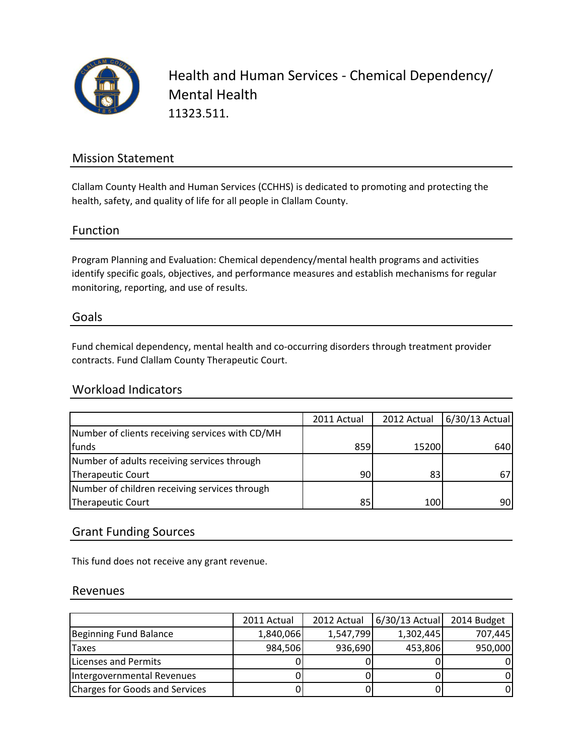

Health and Human Services - Chemical Dependency/ Mental Health 11323.511.

## Mission Statement

Clallam County Health and Human Services (CCHHS) is dedicated to promoting and protecting the health, safety, and quality of life for all people in Clallam County.

## Function

Program Planning and Evaluation: Chemical dependency/mental health programs and activities identify specific goals, objectives, and performance measures and establish mechanisms for regular monitoring, reporting, and use of results.

#### Goals

Fund chemical dependency, mental health and co-occurring disorders through treatment provider contracts. Fund Clallam County Therapeutic Court.

### Workload Indicators

|                                                 | 2011 Actual     | 2012 Actual | 6/30/13 Actual |
|-------------------------------------------------|-----------------|-------------|----------------|
| Number of clients receiving services with CD/MH |                 |             |                |
| funds                                           | 859             | 15200       | 640            |
| Number of adults receiving services through     |                 |             |                |
| Therapeutic Court                               | 90 <sub>l</sub> | 83          |                |
| Number of children receiving services through   |                 |             |                |
| Therapeutic Court                               | 85              | 100         | 90             |

## Grant Funding Sources

This fund does not receive any grant revenue.

#### Revenues

|                                       | 2011 Actual | 2012 Actual | 6/30/13 Actual | 2014 Budget |
|---------------------------------------|-------------|-------------|----------------|-------------|
| Beginning Fund Balance                | 1,840,066   | 1,547,799   | 1,302,445      | 707,445     |
| <b>Taxes</b>                          | 984,506     | 936,690     | 453,806        | 950,000     |
| Licenses and Permits                  |             |             |                |             |
| Intergovernmental Revenues            |             |             |                |             |
| <b>Charges for Goods and Services</b> |             |             |                |             |